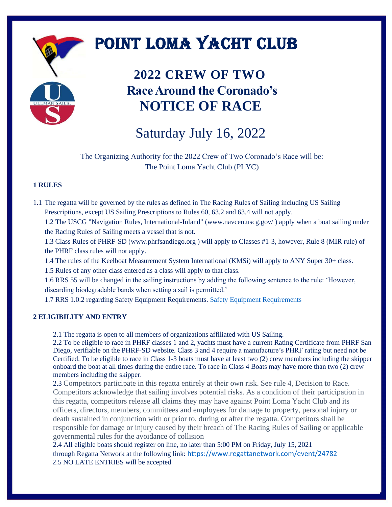# POINT LOMA YACHT CLUB

### **2022 CREW OF TWO Race Around the Coronado's NOTICE OF RACE**

## Saturday July 16, 2022

The Organizing Authority for the 2022 Crew of Two Coronado's Race will be: The Point Loma Yacht Club (PLYC)

### **1 RULES**

1.1 The regatta will be governed by the rules as defined in The Racing Rules of Sailing including US Sailing Prescriptions, except US Sailing Prescriptions to Rules 60, 63.2 and 63.4 will not apply.

1.2 The USCG "Navigation Rules, International-Inland" (www.navcen.uscg.gov/ ) apply when a boat sailing under the Racing Rules of Sailing meets a vessel that is not.

1.3 Class Rules of PHRF-SD (www.phrfsandiego.org ) will apply to Classes #1-3, however, Rule 8 (MIR rule) of the PHRF class rules will not apply.

1.4 The rules of the Keelboat Measurement System International (KMSi) will apply to ANY Super 30+ class.

1.5 Rules of any other class entered as a class will apply to that class.

1.6 RRS 55 will be changed in the sailing instructions by adding the following sentence to the rule: 'However, discarding biodegradable bands when setting a sail is permitted.'

1.7 RRS 1.0.2 regarding Safety Equipment Requirements. [Safety Equipment Requirements](http://www.ussailing.org/wp-content/uploads/DARoot/Offshore/SAS/US_SER_2017.0.pdf)

#### **2 ELIGIBILITY AND ENTRY**

2.1 The regatta is open to all members of organizations affiliated with US Sailing.

2.2 To be eligible to race in PHRF classes 1 and 2, yachts must have a current Rating Certificate from PHRF San Diego, verifiable on the PHRF-SD website. Class 3 and 4 require a manufacture's PHRF rating but need not be Certified. To be eligible to race in Class 1-3 boats must have at least two (2) crew members including the skipper onboard the boat at all times during the entire race. To race in Class 4 Boats may have more than two (2) crew members including the skipper.

2.3 Competitors participate in this regatta entirely at their own risk. See rule 4, Decision to Race. Competitors acknowledge that sailing involves potential risks. As a condition of their participation in this regatta, competitors release all claims they may have against Point Loma Yacht Club and its officers, directors, members, committees and employees for damage to property, personal injury or death sustained in conjunction with or prior to, during or after the regatta. Competitors shall be responsible for damage or injury caused by their breach of The Racing Rules of Sailing or applicable governmental rules for the avoidance of collision

2.4 All eligible boats should register on line, no later than 5:00 PM on Friday, July 15, 2021 through Regatta Network at the following link: <https://www.regattanetwork.com/event/24782> 2.5 NO LATE ENTRIES will be accepted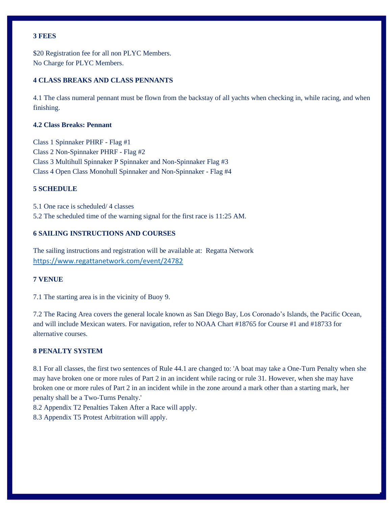#### **3 FEES**

\$20 Registration fee for all non PLYC Members. No Charge for PLYC Members.

#### **4 CLASS BREAKS AND CLASS PENNANTS**

4.1 The class numeral pennant must be flown from the backstay of all yachts when checking in, while racing, and when finishing.

#### **4.2 Class Breaks: Pennant**

Class 1 Spinnaker PHRF - Flag #1 Class 2 Non-Spinnaker PHRF - Flag #2 Class 3 Multihull Spinnaker P Spinnaker and Non-Spinnaker Flag #3 Class 4 Open Class Monohull Spinnaker and Non-Spinnaker - Flag #4

#### **5 SCHEDULE**

5.1 One race is scheduled/ 4 classes 5.2 The scheduled time of the warning signal for the first race is 11:25 AM.

#### **6 SAILING INSTRUCTIONS AND COURSES**

The sailing instructions and registration will be available at: Regatta Network <https://www.regattanetwork.com/event/24782>

#### **7 VENUE**

7.1 The starting area is in the vicinity of Buoy 9.

7.2 The Racing Area covers the general locale known as San Diego Bay, Los Coronado's Islands, the Pacific Ocean, and will include Mexican waters. For navigation, refer to NOAA Chart #18765 for Course #1 and #18733 for alternative courses.

#### **8 PENALTY SYSTEM**

8.1 For all classes, the first two sentences of Rule 44.1 are changed to: 'A boat may take a One-Turn Penalty when she may have broken one or more rules of Part 2 in an incident while racing or rule 31. However, when she may have broken one or more rules of Part 2 in an incident while in the zone around a mark other than a starting mark, her penalty shall be a Two-Turns Penalty.'

8.2 Appendix T2 Penalties Taken After a Race will apply.

8.3 Appendix T5 Protest Arbitration will apply.